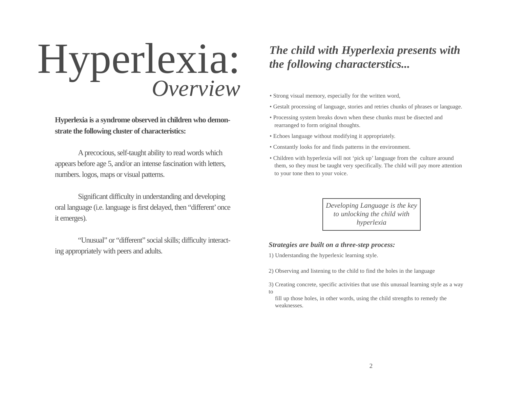# Hyperlexia: *Overview*

**Hyperlexia is a syndrome observed in children who demonstrate the following cluster of characteristics:**

Aprecocious, self-taught ability to read words which appears before age 5, and/or an intense fascination with letters, numbers. logos, maps or visual patterns.

Significant difficulty in understanding and developing oral language (i.e. language is first delayed, then "different'once it emerges).

"Unusual" or "different" social skills; difficulty interacting appropriately with peers and adults.

## *The child with Hyperlexia presents with the following characterstics...*

- Strong visual memory, especially for the written word,
- Gestalt processing of language, stories and retries chunks of phrases or language.
- Processing system breaks down when these chunks must be disected and rearranged to form original thoughts.
- Echoes language without modifying it appropriately.
- Constantly looks for and finds patterns in the environment.
- Children with hyperlexia will not 'pick up' language from the culture around them, so they must be taught very specifically. The child will pay more attention to your tone then to your voice.

*Developing Language is the key to unlocking the child with hyperlexia*

## *Strategies are built on a three-step process:*

1) Understanding the hyperlexic learning style.

2) Observing and listening to the child to find the holes in the language

3) Creating concrete, specific activities that use this unusual learning style as a way to

fill up those holes, in other words, using the child strengths to remedy the weaknesses.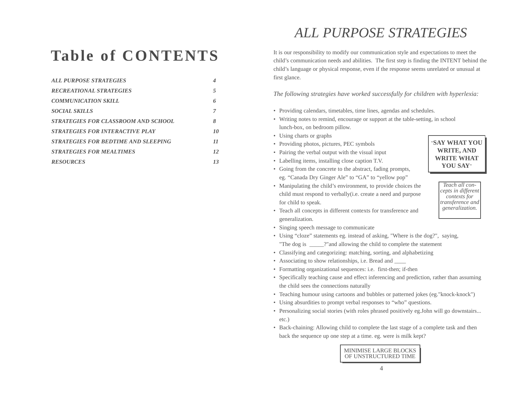# **Table of CONTENTS**

| <b>ALL PURPOSE STRATEGIES</b>              | 4  |
|--------------------------------------------|----|
| <b>RECREATIONAL STRATEGIES</b>             | 5  |
| <b>COMMUNICATION SKILL</b>                 | 6  |
| <b>SOCIAL SKILLS</b>                       | 7  |
| STRATEGIES FOR CLASSROOM AND SCHOOL        | 8  |
| <b>STRATEGIES FOR INTERACTIVE PLAY</b>     | 10 |
| <b>STRATEGIES FOR BEDTIME AND SLEEPING</b> | 11 |
| <b>STRATEGIES FOR MEALTIMES</b>            | 12 |
| <b>RESOURCES</b>                           |    |

## *ALL PURPOSE STRATEGIES*

It is our responsibility to modify our communication style and expectations to meet the child's communication needs and abilities. The first step is finding the INTENT behind the child's language or physical response, even if the response seems unrelated or unusual at first glance.

*The following strategies have worked successfully for children with hyperlexia:*

- Providing calendars, timetables, time lines, agendas and schedules.
- Writing notes to remind, encourage or support at the table-setting, in school lunch-box, on bedroom pillow.
- Using charts or graphs
- Providing photos, pictures, PEC symbols
- Pairing the verbal output with the visual input
- Labelling items, installing close caption T.V.
- Going from the concrete to the abstract, fading prompts, eg. "Canada Dry Ginger Ale" to "GA" to "yellow pop"
- Manipulating the child's environment, to provide choices the child must respond to verbally(i.e. create a need and purpose for child to speak.

"**SAY WHAT YOU WRITE, AND WRITE WHAT YOU SAY**"

> *Teach all concepts in different contexts for transference and generalization.*

- Teach all concepts in different contexts for transference and generalization.
- Singing speech message to communicate
- Using "cloze" statements eg. instead of asking, "Where is the dog?", saying, "The dog is  $\cdots$ ?" and allowing the child to complete the statement
- Classifying and categorizing: matching, sorting, and alphabetizing
- Associating to show relationships, i.e. Bread and \_\_\_\_
- Formatting organizational sequences: i.e. first-then; if-then
- Specifically teaching cause and effect inferencing and prediction, rather than assuming the child sees the connections naturally
- Teaching humour using cartoons and bubbles or patterned jokes (eg."knock-knock")
- Using absurdities to prompt verbal responses to "who" questions.
- Personalizing social stories (with roles phrased positively eg.John will go downstairs... etc.)
- Back-chaining: Allowing child to complete the last stage of a complete task and then back the sequence up one step at a time. eg. were is milk kept?

## MINIMISE LARGE BLOCKS OF UNSTRUCTURED TIME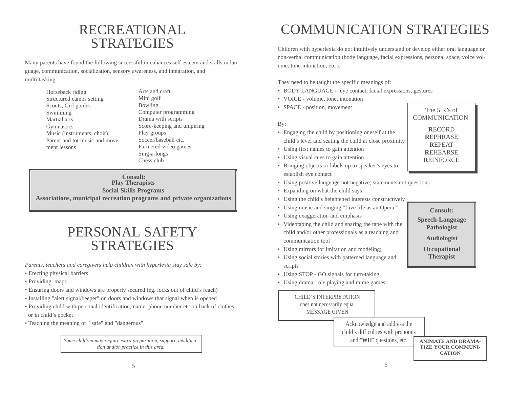## RECREATIONAL STRATEGIES

Many parents have found the following successful in enhances self esteem and skills in language, communication, socialization, sensory awareness, and integration, and multi tasking.

| Horseback riding               | Arts and craft             |
|--------------------------------|----------------------------|
| Structured camps setting       | Mini golf                  |
| Scouts, Girl guides            | Bowling                    |
| Swimming                       | Computer programming       |
| Martial arts                   | Drama with scripts         |
| <b>Gymnastics</b>              | Score-keeping and umpiring |
| Music (instruments, choir)     | Play groups                |
| Parent and tot music and move- | Soccer/baseball etc.       |
| ment lessons                   | Partnered video games      |
|                                | Sing-a-longs               |

**Consult: Play Therapists Social Skills Programs Associations, municipal recreation programs and private organizations**

Chess club

## PERSONAL SAFETY **STRATEGIES**

*Parents, teachers and caregivers help children with hyperlexia stay safe by:*

- Erecting physical barriers
- Providing maps
- Ensuring doors and windows are properly secured (eg. locks out of child's reach)
- Installing "alert signal/beeper" on doors and windows that signal when is opened
- Providing child with personal identification, name, phone number etc.on back of clothes or in child's pocket
- Teaching the meaning of "safe" and "dangerous".

*Some children may require extra preparation, support, modification and/or practice in this area.*

# COMMUNICATION STRATEGIES

Children with hyperlexia do not intuitively understand or develop either oral language or non-verbal communication (body language, facial expressions, personal space, voice volume, tone intonation, etc.).

They need to be taught the specific meanings of:

- BODY LANGUAGE eye contact, facial expressions, gestures
- VOICE volume, tone, intonation
- SPACE position, movement

#### By:

- Engaging the child by positioning oneself at the child's level and seating the child at close proximity
- Using first names to gain attention
- Using visual cues to gain attention
- Bringing objects or labels up to speaker's eyes to establish eye contact
- Using positive language not negative; statements not questions
- Expanding on what the child says
- Using the child's heightened interests constructively
- Using music and singing "Live life as an Opera!"
- Using exaggeration and emphasis
- Videotaping the child and sharing the tape with the child and/or other professionals as a teaching and communication tool
- Using mirrors for imitation and modeling;
- Using social stories with patterned language and scripts
- Using STOP GO signals for turn-taking
- Using drama, role playing and mime games

CHILD'S INTERPRETATION does not necessarily equal MESSAGE GIVEN

> Acknowledge and address the child's difficulties with pronouns and "WH" questions, etc. ANIMATE AND DRAMA-

**TIZE YOUR COMMUNI-CATION**

The 5 R's of COMMUNICATION: **R**ECORD **R**EPHRASE **R**EPEAT **R**EHEARSE **R**EINFORCE

**Consult: Speech-Language Pathologist Audiologist Occupational Therapist**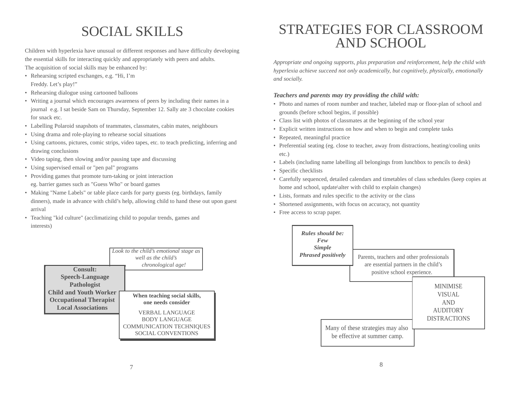# SOCIAL SKILLS

Children with hyperlexia have unusual or different responses and have difficulty developing the essential skills for interacting quickly and appropriately with peers and adults. The acquisition of social skills may be enhanced by:

- Rehearsing scripted exchanges, e.g. "Hi, I'm Freddy. Let's play!"
- Rehearsing dialogue using cartooned balloons
- Writing a journal which encourages awareness of peers by including their names in a journal e.g. I sat beside Sam on Thursday, September 12. Sally ate 3 chocolate cookies for snack etc.
- Labelling Polaroid snapshots of teammates, classmates, cabin mates, neighbours
- Using drama and role-playing to rehearse social situations
- Using cartoons, pictures, comic strips, video tapes, etc. to teach predicting, inferring and drawing conclusions
- Video taping, then slowing and/or pausing tape and discussing
- Using supervised email or "pen pal" programs
- Providing games that promote turn-taking or joint interaction eg. barrier games such as "Guess Who" or board games
- Making "Name Labels" or table place cards for party guests (eg. birthdays, family dinners), made in advance with child's help, allowing child to hand these out upon guest arrival
- Teaching "kid culture" (acclimatizing child to popular trends, games and interests)



## STRATEGIES FOR CLASSROOM AND SCHOOL

*Appropriate and ongoing supports, plus preparation and reinforcement, help the child with hyperlexia achieve succeed not only academically, but cognitively, physically, emotionally and socially.*

## *Teachers and parents may try providing the child with:*

- Photo and names of room number and teacher, labeled map or floor-plan of school and grounds (before school begins, if possible)
- Class list with photos of classmates at the beginning of the school year
- Explicit written instructions on how and when to begin and complete tasks
- Repeated, meaningful practice
- Preferential seating (eg. close to teacher, away from distractions, heating/cooling units etc.)
- Labels (including name labelling all belongings from lunchbox to pencils to desk)
- Specific checklists
- Carefully sequenced, detailed calendars and timetables of class schedules (keep copies at home and school, update\alter with child to explain changes)
- Lists, formats and rules specific to the activity or the class
- Shortened assignments, with focus on accuracy, not quantity
- Free access to scrap paper.

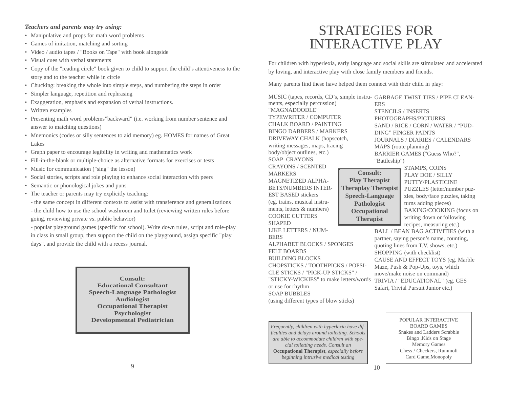## *Teachers and parents may try using:*

- Manipulative and props for math word problems
- Games of imitation, matching and sorting
- Video / audio tapes / "Books on Tape" with book alongside
- Visual cues with verbal statements
- Copy of the "reading circle" book given to child to support the child's attentiveness to the story and to the teacher while in circle
- Chucking: breaking the whole into simple steps, and numbering the steps in order
- Simpler language, repetition and rephrasing
- Exaggeration, emphasis and expansion of verbal instructions.
- Written examples
- Presenting math word problems"backward" (i.e. working from number sentence and answer to matching questions)
- Mnemonics (codes or silly sentences to aid memory) eg. HOMES for names of Great Lakes
- Graph paper to encourage legibility in writing and mathematics work
- Fill-in-the-blank or multiple-choice as alternative formats for exercises or tests
- Music for communication ("sing" the lesson)
- Social stories, scripts and role playing to enhance social interaction with peers
- Semantic or phonological jokes and puns
- The teacher or parents may try explicitly teaching:
- the same concept in different contexts to assist with transference and generalizations
- the child how to use the school washroom and toilet (reviewing written rules before going, reviewing private vs. public behavior)

- popular playground games (specific for school). Write down rules, script and role-play in class in small group, then support the child on the playground, assign specific "play days", and provide the child with a recess journal.

> **Consult: Educational Consultant Speech-Language Pathologist Audiologist Occupational Therapist Psychologist Developmental Pediatrician**

## STRATEGIES FOR INTERACTIVE PLAY

For children with hyperlexia, early language and social skills are stimulated and accelerated by loving, and interactive play with close family members and friends.

Many parents find these have helped them connect with their child in play:

ments, especially percussion) "MAGNADOODLE" TYPEWRITER / COMPUTER CHALK BOARD / PAINTING BINGO DABBERS / MARKERS DRIVEWAY CHALK (hopscotch, writing messages, maps, tracing body/object outlines, etc.) SOAP CRAYONS CRAYONS / SCENTED MARKERS MAGNETIZED ALPHA-BETS/NUMBERS INTER-EST BASED stickers (eg. trains, musical instruments, letters & numbers) COOKIE CUTTERS SHAPED LIKE LETTERS / NUM-BERS ALPHABET BLOCKS / SPONGES FELT BOARDS BUILDING BLOCKS CHOPSTICKS / TOOTHPICKS / POPSI-CLE STICKS / "PICK-UP STICKS" / "STICKY-WICKIES" to make letters/words TRIVIA / "EDUCATIONAL" (eg. GES or use for rhythm SOAP BUBBLES (using different types of blow sticks) ERS "Battleship") **Consult: Play Therapist Theraplay Therapist Speech-Language Pathologist Occupational Therapist**

MUSIC (tapes, records, CD's, simple instru-GARBAGE TWIST TIES / PIPE CLEAN-STENCILS / INSERTS PHOTOGRAPHS/PICTURES SAND / RICE / CORN / WATER / "PUD-DING" FINGER PAINTS JOURNALS / DIARIES / CALENDARS MAPS (route planning) BARRIER GAMES ("Guess Who?",

STAMPS, COINS PLAY DOE / SILLY PUTTY/PLASTICINE PUZZLES (letter/number puzzles, body/face puzzles, taking turns adding pieces) BAKING/COOKING (focus on writing down or following recipes, measuring etc.)

BALL / BEAN BAG ACTIVITIES (with a partner, saying person's name, counting, quoting lines from T.V. shows, etc.) SHOPPING (with checklist) CAUSE AND EFFECT TOYS (eg. Marble Maze, Push & Pop-Ups, toys, which move/make noise on command) Safari, Trivial Pursuit Junior etc.)

> POPULAR INTERACTIVE BOARD GAMES Snakes and Ladders Scrabble Bingo ,Kids on Stage Memory Games Chess / Checkers, Rummoli Card Game,Monopoly

*Frequently, children with hyperlexia have difficulties and delays around toiletting. Schools are able to accommodate children with special toiletting needs. Consult an* **Occupational Therapist***, especially before beginning intrusive medical testing*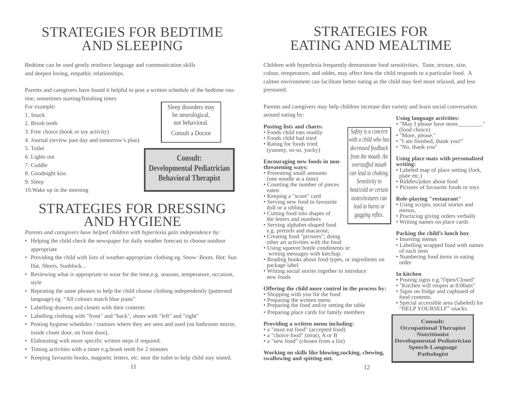## STRATEGIES FOR BEDTIME AND SLEEPING

Bedtime can be used gently reinforce language and communication skills and deepen loving, empathic relationships.

Parents and caregivers have found it helpful to post a written schedule of the bedtime rou-

tine, sometimes starting/finishing times

For example:

- 1. Snack
- 2. Brush teeth
- 3. Free choice (book or toy activity)
- 4. Journal (review past day and tomorrow's plan)
- 5. Toilet
- 6. Lights out
- 7. Cuddle
- 8. Goodnight kiss
- 9. Sleep
- 10.Wake up in the morning

## STRATEGIES FOR DRESSING AND HYGIENE

*Parents and caregivers have helped children with hyperlexia gain independence by:*

- Helping the child check the newspaper for daily weather forecast to choose outdoor appropriate
- Providing the child with lists of weather-appropriate clothing eg. Snow: Boots. Hot: Sun Hat, Shorts, Sunblock...
- Reviewing what is appropriate to wear for the time,e.g. seasons, temperature, occasion, style
- Repeating the same phrases to help the child choose clothing independently (patterned language) eg. "All colours match blue jeans"
- Labelling drawers and closets with their contents
- Labelling clothing with "front" and "back", shoes with "left" and "right"
- Posting hygiene schedules / routines where they are seen and used (on bathroom mirror, inside closet door, on front door),
- Elaborating with more specific written steps if required.
- Timing activities with a timer e.g.brush teeth for 2 minutes
- Keeping favourite books, magnetic letters, etc. near the toilet to help child stay seated.

## STRATEGIES FOR EATING AND MEALTIME

Children with hyperlexia frequently demonstrate food sensitivities. Taste, texture, size, colour, temperature, and odder, may affect how the child responds to a particular food. A calmer environment can facilitate better eating as the child may feel more relaxed, and less pressured.

Parents and caregivers may help children increase diet variety and learn social conversation around eating by:

> *Safety is a concern with a child who has decreased feedback from the mouth. An overstuffed mouth can lead to choking. Sensitivity to heat/cold or certain tastes/textures can lead to burns or gagging reflex.*

## **Posting lists and charts:**

- Foods child eats readily
- Foods child had tried
- Rating for foods tried
- (yummy, so-so, yucky)

#### **Encouraging new foods in nonthreatening ways:** • Presenting small amounts

- (one noodle at a time) • Counting the number of pieces
- eaten
- Keeping a "score" card • Serving new food to favourite
- doll or a sibling • Cutting food into shapes of
- the letters and numbers • Serving alphabet-shaped food
- e.g. pretzels and macaroni;
- Creating food "pictures"; doing other art activities with the food
- Using squeeze bottle condiments ie: writing messages with ketchup.
- Reading books about food types, or ingredients on package label
- Writing social stories together to introduce new foods

#### **Offering the child more control in the process by:**

- Shopping with you for the food
- Preparing the written menu
- Preparing the food and/or setting the table
- Preparing place cards for family members

#### **Providing a written menu including:**

- a "must eat food" (accepted food)
- a "choice food" (treat), A or B • a "new food" (chosen from a list)

#### **Working on skills like blowing,sucking, chewing, swallowing and spitting out.**

## **Using language activities:**

- "May I please have more
- (food choice) • "More, please."
- "I am finished, thank you!"
- "No, thank you"

#### **Using place mats with personalized writing:**

- Labeled map of place setting (fork, plate etc.)
- Riddles/jokes about food
- Pictures of favourite foods or toys

#### **Role-playing "restaurant"**

- Using scripts, social stories and menus,
- Practicing giving orders verbally
- Writing names on place cards

## **Packing the child's lunch box**

- Inserting menus
- Labelling wrapped food with names of each item
- Numbering food items in eating order

## **In kitchen**

- Posting signs e.g."Open/Closed"
- "Kitchen will reopen at 8:00am"
- Signs on fridge and cupboard of food contents.
- Special accessible area (labeled) for "HELP YOURSELF" snacks.

#### **Consult: Occupational Therapist Nutritionist Developmental Pediatrician Speech-Language Pathologist**

not behavioral. Consult a Doctor **Consult: Developmental Pediatrician**

**Behavioral Therapist**

Sleep disorders may be neurological,